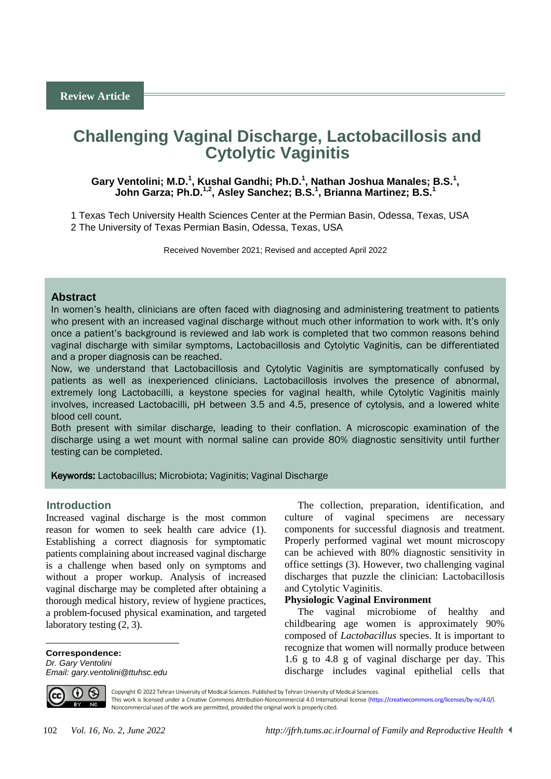# **Challenging Vaginal Discharge, Lactobacillosis and Cytolytic Vaginitis**

# Gary Ventolini; M.D.<sup>1</sup>, Kushal Gandhi; Ph.D.<sup>1</sup>, Nathan Joshua Manales; B.S.<sup>1</sup>, **John Garza; Ph.D.1,2 , Asley Sanchez; B.S.<sup>1</sup> , Brianna Martinez; B.S.<sup>1</sup>**

1 Texas Tech University Health Sciences Center at the Permian Basin, Odessa, Texas, USA 2 The University of Texas Permian Basin, Odessa, Texas, USA

Received November 2021; Revised and accepted April 2022

# **Abstract**

In women's health, clinicians are often faced with diagnosing and administering treatment to patients who present with an increased vaginal discharge without much other information to work with. It's only once a patient's background is reviewed and lab work is completed that two common reasons behind vaginal discharge with similar symptoms, Lactobacillosis and Cytolytic Vaginitis, can be differentiated and a proper diagnosis can be reached.

Now, we understand that Lactobacillosis and Cytolytic Vaginitis are symptomatically confused by patients as well as inexperienced clinicians. Lactobacillosis involves the presence of abnormal, extremely long Lactobacilli, a keystone species for vaginal health, while Cytolytic Vaginitis mainly involves, increased Lactobacilli, pH between 3.5 and 4.5, presence of cytolysis, and a lowered white blood cell count.

Both present with similar discharge, leading to their conflation. A microscopic examination of the discharge using a wet mount with normal saline can provide 80% diagnostic sensitivity until further testing can be completed.

Keywords: Lactobacillus; Microbiota; Vaginitis; Vaginal Discharge

# <sup>1</sup>**Introduction**

Increased vaginal discharge is the most common reason for women to seek health care advice (1). Establishing a correct diagnosis for symptomatic patients complaining about increased vaginal discharge is a challenge when based only on symptoms and without a proper workup. Analysis of increased vaginal discharge may be completed after obtaining a thorough medical history, review of hygiene practices, a problem-focused physical examination, and targeted laboratory testing (2, 3).

**Correspondence:** *Dr. Gary Ventolini Email: gary.ventolini@ttuhsc.edu*

The collection, preparation, identification, and culture of vaginal specimens are necessary components for successful diagnosis and treatment. Properly performed vaginal wet mount microscopy can be achieved with 80% diagnostic sensitivity in office settings (3). However, two challenging vaginal discharges that puzzle the clinician: Lactobacillosis and Cytolytic Vaginitis.

### **Physiologic Vaginal Environment**

The vaginal microbiome of healthy and childbearing age women is approximately 90% composed of *Lactobacillus* species. It is important to recognize that women will normally produce between 1.6 g to 4.8 g of vaginal discharge per day. This discharge includes vaginal epithelial cells that



 $\overline{a}$ 

Copyright © 2022 Tehran University of Medical Sciences. Published by Tehran University of Medical Sciences.

This work is licensed under a Creative Commons Attribution-Noncommercial 4.0 International license [\(https://creativecommons.org/licenses/by-nc/4.0/\)](https://creativecommons.org/licenses/by-nc/4.0/). Noncommercial uses of the work are permitted, provided the original work is properly cited.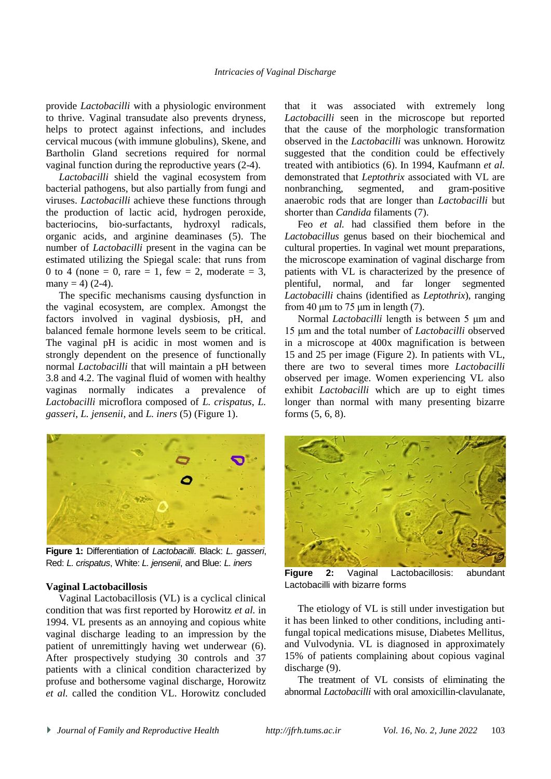provide *Lactobacilli* with a physiologic environment to thrive. Vaginal transudate also prevents dryness, helps to protect against infections, and includes cervical mucous (with immune globulins), Skene, and Bartholin Gland secretions required for normal vaginal function during the reproductive years (2-4).

*Lactobacilli* shield the vaginal ecosystem from bacterial pathogens, but also partially from fungi and viruses. *Lactobacilli* achieve these functions through the production of lactic acid, hydrogen peroxide, bacteriocins, bio-surfactants, hydroxyl radicals, organic acids, and arginine deaminases (5). The number of *Lactobacilli* present in the vagina can be estimated utilizing the Spiegal scale: that runs from 0 to 4 (none = 0, rare = 1, few = 2, moderate = 3, many = 4)  $(2-4)$ .

The specific mechanisms causing dysfunction in the vaginal ecosystem, are complex. Amongst the factors involved in vaginal dysbiosis, pH, and balanced female hormone levels seem to be critical. The vaginal pH is acidic in most women and is strongly dependent on the presence of functionally normal *Lactobacilli* that will maintain a pH between 3.8 and 4.2. The vaginal fluid of women with healthy vaginas normally indicates a prevalence of *Lactobacilli* microflora composed of *L. crispatus*, *L. gasseri*, *L. jensenii*, and *L. iners* (5) (Figure 1).



**Figure 1:** Differentiation of *Lactobacilli*. Black: *L. gasseri*, Red: *L. crispatus*, White: *L. jensenii*, and Blue: *L. iners*

### **Vaginal Lactobacillosis**

Vaginal Lactobacillosis (VL) is a cyclical clinical condition that was first reported by Horowitz *et al.* in 1994. VL presents as an annoying and copious white vaginal discharge leading to an impression by the patient of unremittingly having wet underwear (6). After prospectively studying 30 controls and 37 patients with a clinical condition characterized by profuse and bothersome vaginal discharge, Horowitz *et al.* called the condition VL. Horowitz concluded

that it was associated with extremely long *Lactobacilli* seen in the microscope but reported that the cause of the morphologic transformation observed in the *Lactobacilli* was unknown. Horowitz suggested that the condition could be effectively treated with antibiotics (6). In 1994, Kaufmann *et al.* demonstrated that *Leptothrix* associated with VL are nonbranching, segmented, and gram-positive anaerobic rods that are longer than *Lactobacilli* but shorter than *Candida* filaments (7).

Feo *et al.* had classified them before in the *Lactobacillus* genus based on their biochemical and cultural properties. In vaginal wet mount preparations, the microscope examination of vaginal discharge from patients with VL is characterized by the presence of plentiful, normal, and far longer segmented *Lactobacilli* chains (identified as *Leptothrix*), ranging from 40  $\mu$ m to 75  $\mu$ m in length (7).

Normal *Lactobacilli* length is between 5 μm and 15 μm and the total number of *Lactobacilli* observed in a microscope at 400x magnification is between 15 and 25 per image (Figure 2). In patients with VL, there are two to several times more *Lactobacilli*  observed per image. Women experiencing VL also exhibit *Lactobacilli* which are up to eight times longer than normal with many presenting bizarre forms (5, 6, 8).



**Figure 2:** Vaginal Lactobacillosis: abundant Lactobacilli with bizarre forms

The etiology of VL is still under investigation but it has been linked to other conditions, including antifungal topical medications misuse, Diabetes Mellitus, and Vulvodynia. VL is diagnosed in approximately 15% of patients complaining about copious vaginal discharge (9).

The treatment of VL consists of eliminating the abnormal *Lactobacilli* with oral amoxicillin-clavulanate,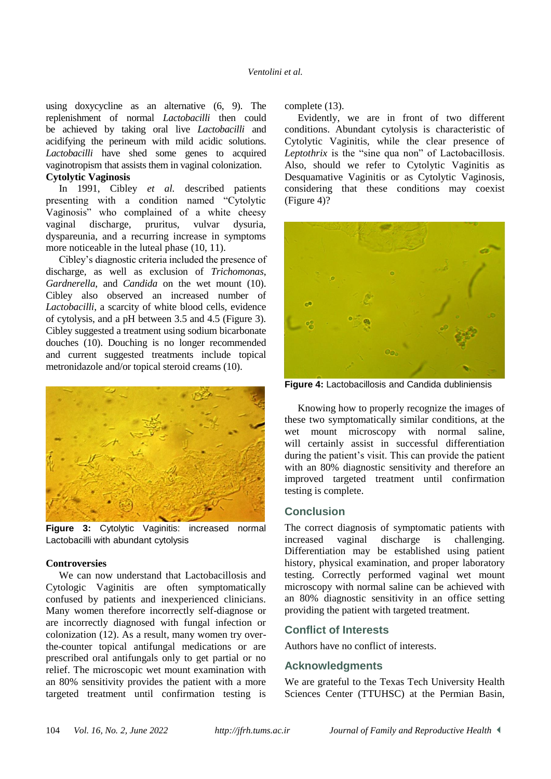using doxycycline as an alternative (6, 9). The replenishment of normal *Lactobacilli* then could be achieved by taking oral live *Lactobacilli* and acidifying the perineum with mild acidic solutions. *Lactobacilli* have shed some genes to acquired vaginotropism that assists them in vaginal colonization.

# **Cytolytic Vaginosis**

In 1991, Cibley *et al.* described patients presenting with a condition named "Cytolytic Vaginosis" who complained of a white cheesy vaginal discharge, pruritus, vulvar dysuria, dyspareunia, and a recurring increase in symptoms more noticeable in the luteal phase (10, 11).

Cibley's diagnostic criteria included the presence of discharge, as well as exclusion of *Trichomonas*, *Gardnerella*, and *Candida* on the wet mount (10). Cibley also observed an increased number of *Lactobacilli*, a scarcity of white blood cells, evidence of cytolysis, and a pH between 3.5 and 4.5 (Figure 3). Cibley suggested a treatment using sodium bicarbonate douches (10). Douching is no longer recommended and current suggested treatments include topical metronidazole and/or topical steroid creams (10).



**Figure 3:** Cytolytic Vaginitis: increased normal Lactobacilli with abundant cytolysis

### **Controversies**

We can now understand that Lactobacillosis and Cytologic Vaginitis are often symptomatically confused by patients and inexperienced clinicians. Many women therefore incorrectly self-diagnose or are incorrectly diagnosed with fungal infection or colonization (12). As a result, many women try overthe-counter topical antifungal medications or are prescribed oral antifungals only to get partial or no relief. The microscopic wet mount examination with an 80% sensitivity provides the patient with a more targeted treatment until confirmation testing is complete (13).

Evidently, we are in front of two different conditions. Abundant cytolysis is characteristic of Cytolytic Vaginitis, while the clear presence of *Leptothrix* is the "sine qua non" of Lactobacillosis. Also, should we refer to Cytolytic Vaginitis as Desquamative Vaginitis or as Cytolytic Vaginosis, considering that these conditions may coexist (Figure 4)?



**Figure 4:** Lactobacillosis and Candida dubliniensis

Knowing how to properly recognize the images of these two symptomatically similar conditions, at the wet mount microscopy with normal saline, will certainly assist in successful differentiation during the patient's visit. This can provide the patient with an 80% diagnostic sensitivity and therefore an improved targeted treatment until confirmation testing is complete.

# **Conclusion**

The correct diagnosis of symptomatic patients with increased vaginal discharge is challenging. Differentiation may be established using patient history, physical examination, and proper laboratory testing. Correctly performed vaginal wet mount microscopy with normal saline can be achieved with an 80% diagnostic sensitivity in an office setting providing the patient with targeted treatment.

### **Conflict of Interests**

Authors have no conflict of interests.

# **Acknowledgments**

We are grateful to the Texas Tech University Health Sciences Center (TTUHSC) at the Permian Basin,